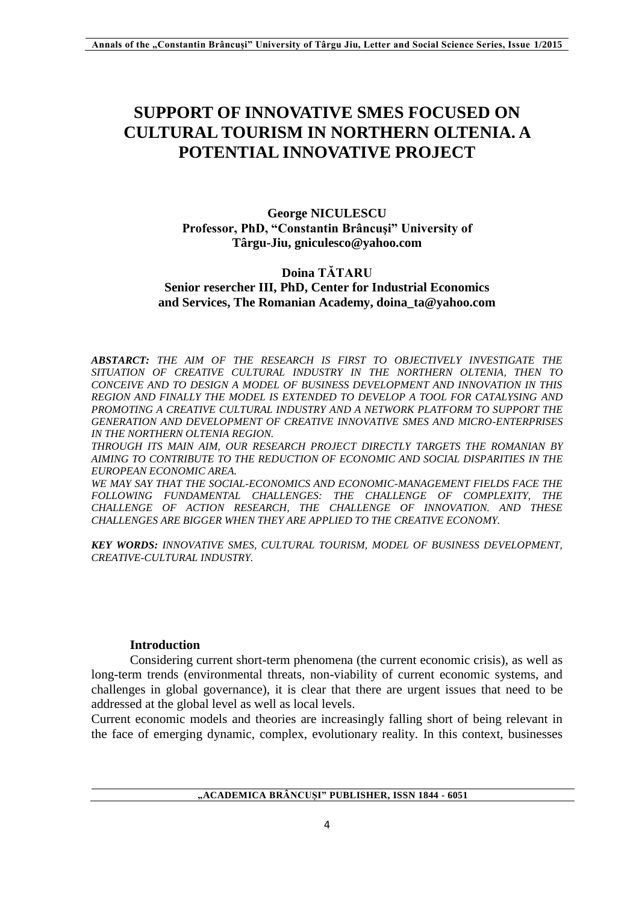# **SUPPORT OF INNOVATIVE SMES FOCUSED ON CULTURAL TOURISM IN NORTHERN OLTENIA. A POTENTIAL INNOVATIVE PROJECT**

# **George NICULESCU Professor, PhD, "Constantin Brâncuşi" University of Târgu-Jiu, gniculesco@yahoo.com**

# **Doina TĂTARU Senior resercher III, PhD, Center for Industrial Economics and Services, The Romanian Academy, doina\_ta@yahoo.com**

*ABSTARCT: THE AIM OF THE RESEARCH IS FIRST TO OBJECTIVELY INVESTIGATE THE SITUATION OF CREATIVE CULTURAL INDUSTRY IN THE NORTHERN OLTENIA, THEN TO CONCEIVE AND TO DESIGN A MODEL OF BUSINESS DEVELOPMENT AND INNOVATION IN THIS REGION AND FINALLY THE MODEL IS EXTENDED TO DEVELOP A TOOL FOR CATALYSING AND PROMOTING A CREATIVE CULTURAL INDUSTRY AND A NETWORK PLATFORM TO SUPPORT THE GENERATION AND DEVELOPMENT OF CREATIVE INNOVATIVE SMES AND MICRO-ENTERPRISES IN THE NORTHERN OLTENIA REGION.*

*THROUGH ITS MAIN AIM, OUR RESEARCH PROJECT DIRECTLY TARGETS THE ROMANIAN BY AIMING TO CONTRIBUTE TO THE REDUCTION OF ECONOMIC AND SOCIAL DISPARITIES IN THE EUROPEAN ECONOMIC AREA.*

*WE MAY SAY THAT THE SOCIAL-ECONOMICS AND ECONOMIC-MANAGEMENT FIELDS FACE THE FOLLOWING FUNDAMENTAL CHALLENGES: THE CHALLENGE OF COMPLEXITY, THE CHALLENGE OF ACTION RESEARCH, THE CHALLENGE OF INNOVATION. AND THESE CHALLENGES ARE BIGGER WHEN THEY ARE APPLIED TO THE CREATIVE ECONOMY.*

*KEY WORDS: INNOVATIVE SMES, CULTURAL TOURISM, MODEL OF BUSINESS DEVELOPMENT, CREATIVE-CULTURAL INDUSTRY.*

# **Introduction**

Considering current short-term phenomena (the current economic crisis), as well as long-term trends (environmental threats, non-viability of current economic systems, and challenges in global governance), it is clear that there are urgent issues that need to be addressed at the global level as well as local levels.

Current economic models and theories are increasingly falling short of being relevant in the face of emerging dynamic, complex, evolutionary reality. In this context, businesses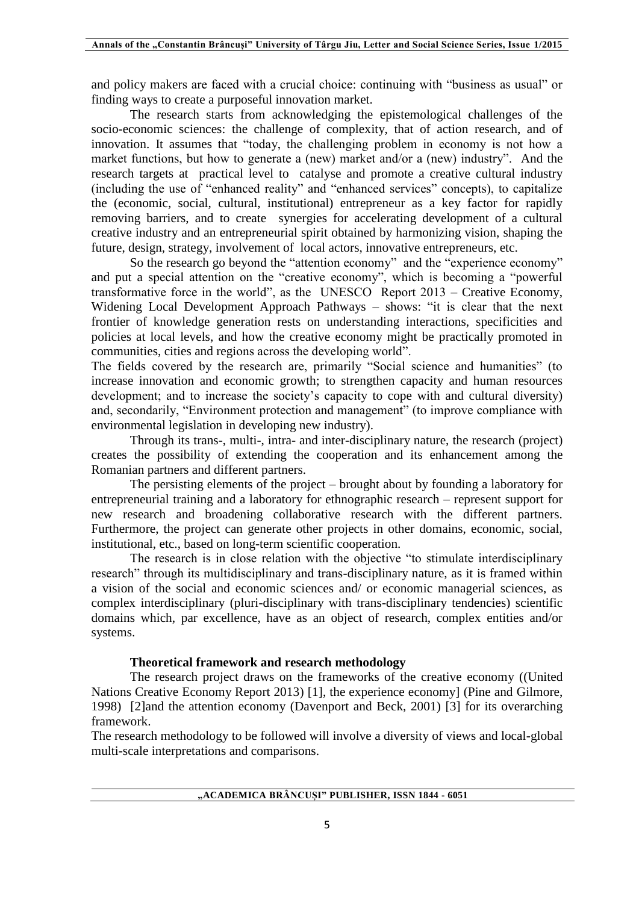and policy makers are faced with a crucial choice: continuing with "business as usual" or finding ways to create a purposeful innovation market.

The research starts from acknowledging the epistemological challenges of the socio-economic sciences: the challenge of complexity, that of action research, and of innovation. It assumes that "today, the challenging problem in economy is not how a market functions, but how to generate a (new) market and/or a (new) industry".And the research targets at practical level to catalyse and promote a creative cultural industry (including the use of "enhanced reality" and "enhanced services" concepts), to capitalize the (economic, social, cultural, institutional) entrepreneur as a key factor for rapidly removing barriers, and to create synergies for accelerating development of a cultural creative industry and an entrepreneurial spirit obtained by harmonizing vision, shaping the future, design, strategy, involvement of local actors, innovative entrepreneurs, etc.

So the research go beyond the "attention economy" and the "experience economy" and put a special attention on the "creative economy", which is becoming a "powerful transformative force in the world", as the UNESCO Report 2013 – Creative Economy, Widening Local Development Approach Pathways – shows: "it is clear that the next frontier of knowledge generation rests on understanding interactions, specificities and policies at local levels, and how the creative economy might be practically promoted in communities, cities and regions across the developing world".

The fields covered by the research are, primarily "Social science and humanities" (to increase innovation and economic growth; to strengthen capacity and human resources development; and to increase the society's capacity to cope with and cultural diversity) and, secondarily, "Environment protection and management" (to improve compliance with environmental legislation in developing new industry).

Through its trans-, multi-, intra- and inter-disciplinary nature, the research (project) creates the possibility of extending the cooperation and its enhancement among the Romanian partners and different partners.

The persisting elements of the project – brought about by founding a laboratory for entrepreneurial training and a laboratory for ethnographic research – represent support for new research and broadening collaborative research with the different partners. Furthermore, the project can generate other projects in other domains, economic, social, institutional, etc., based on long-term scientific cooperation.

The research is in close relation with the objective "to stimulate interdisciplinary research" through its multidisciplinary and trans-disciplinary nature, as it is framed within a vision of the social and economic sciences and/ or economic managerial sciences, as complex interdisciplinary (pluri-disciplinary with trans-disciplinary tendencies) scientific domains which, par excellence, have as an object of research, complex entities and/or systems.

### **Theoretical framework and research methodology**

The research project draws on the frameworks of the creative economy ((United Nations Creative Economy Report 2013) [1], the experience economy] (Pine and Gilmore, 1998) [2]and the attention economy (Davenport and Beck, 2001) [3] for its overarching framework.

The research methodology to be followed will involve a diversity of views and local-global multi-scale interpretations and comparisons.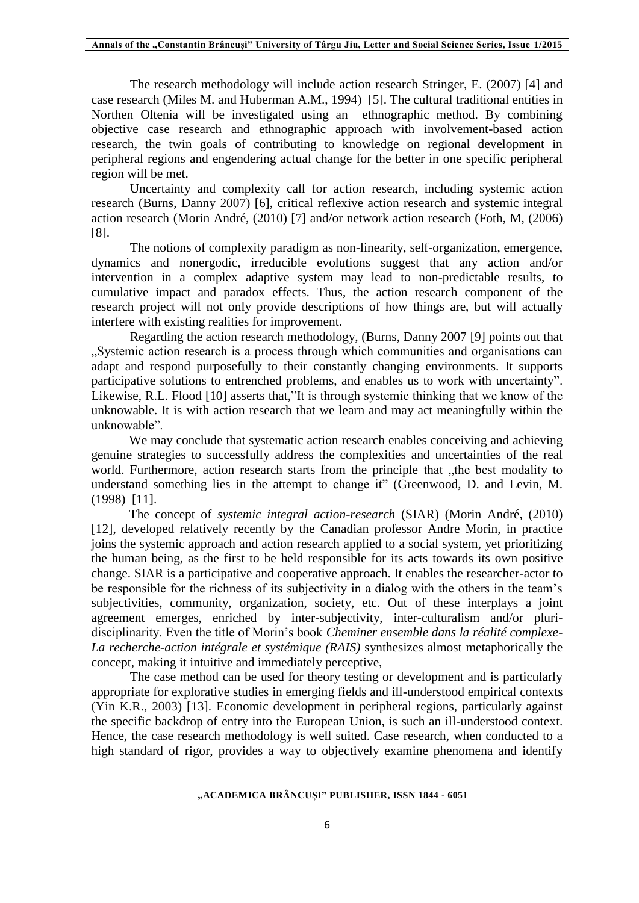The research methodology will include action research Stringer, E. (2007) [4] and case research (Miles M. and Huberman A.M., 1994) [5]. The cultural traditional entities in Northen Oltenia will be investigated using an ethnographic method. By combining objective case research and ethnographic approach with involvement-based action research, the twin goals of contributing to knowledge on regional development in peripheral regions and engendering actual change for the better in one specific peripheral region will be met.

Uncertainty and complexity call for action research, including systemic action research (Burns, Danny 2007) [6], critical reflexive action research and systemic integral action research (Morin André, (2010) [7] and/or network action research (Foth, M, (2006) [8].

The notions of complexity paradigm as non-linearity, self-organization, emergence, dynamics and nonergodic, irreducible evolutions suggest that any action and/or intervention in a complex adaptive system may lead to non-predictable results, to cumulative impact and paradox effects. Thus, the action research component of the research project will not only provide descriptions of how things are, but will actually interfere with existing realities for improvement.

Regarding the action research methodology, (Burns, Danny 2007 [9] points out that "Systemic action research is a process through which communities and organisations can adapt and respond purposefully to their constantly changing environments. It supports participative solutions to entrenched problems, and enables us to work with uncertainty". Likewise, R.L. Flood [10] asserts that,"It is through systemic thinking that we know of the unknowable. It is with action research that we learn and may act meaningfully within the unknowable".

We may conclude that systematic action research enables conceiving and achieving genuine strategies to successfully address the complexities and uncertainties of the real world. Furthermore, action research starts from the principle that "the best modality to understand something lies in the attempt to change it" (Greenwood, D. and Levin, M. (1998) [11].

The concept of *systemic integral action-research* (SIAR) (Morin André, (2010) [12], developed relatively recently by the Canadian professor Andre Morin, in practice joins the systemic approach and action research applied to a social system, yet prioritizing the human being, as the first to be held responsible for its acts towards its own positive change. SIAR is a participative and cooperative approach. It enables the researcher-actor to be responsible for the richness of its subjectivity in a dialog with the others in the team's subjectivities, community, organization, society, etc. Out of these interplays a joint agreement emerges, enriched by inter-subjectivity, inter-culturalism and/or pluridisciplinarity. Even the title of Morin's book *Cheminer ensemble dans la réalité complexe-La recherche-action intégrale et systémique (RAIS)* synthesizes almost metaphorically the concept, making it intuitive and immediately perceptive,

The case method can be used for theory testing or development and is particularly appropriate for explorative studies in emerging fields and ill-understood empirical contexts (Yin K.R., 2003) [13]. Economic development in peripheral regions, particularly against the specific backdrop of entry into the European Union, is such an ill-understood context. Hence, the case research methodology is well suited. Case research, when conducted to a high standard of rigor, provides a way to objectively examine phenomena and identify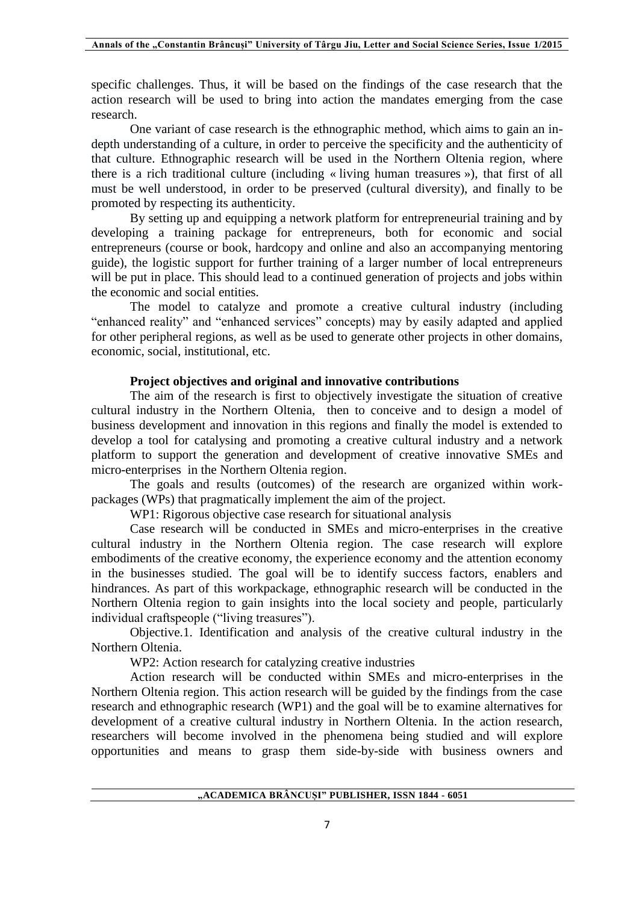specific challenges. Thus, it will be based on the findings of the case research that the action research will be used to bring into action the mandates emerging from the case research.

One variant of case research is the ethnographic method, which aims to gain an indepth understanding of a culture, in order to perceive the specificity and the authenticity of that culture. Ethnographic research will be used in the Northern Oltenia region, where there is a rich traditional culture (including « living human treasures »), that first of all must be well understood, in order to be preserved (cultural diversity), and finally to be promoted by respecting its authenticity.

By setting up and equipping a network platform for entrepreneurial training and by developing a training package for entrepreneurs, both for economic and social entrepreneurs (course or book, hardcopy and online and also an accompanying mentoring guide), the logistic support for further training of a larger number of local entrepreneurs will be put in place. This should lead to a continued generation of projects and jobs within the economic and social entities.

The model to catalyze and promote a creative cultural industry (including "enhanced reality" and "enhanced services" concepts) may by easily adapted and applied for other peripheral regions, as well as be used to generate other projects in other domains, economic, social, institutional, etc.

#### **Project objectives and original and innovative contributions**

The aim of the research is first to objectively investigate the situation of creative cultural industry in the Northern Oltenia, then to conceive and to design a model of business development and innovation in this regions and finally the model is extended to develop a tool for catalysing and promoting a creative cultural industry and a network platform to support the generation and development of creative innovative SMEs and micro-enterprises in the Northern Oltenia region.

The goals and results (outcomes) of the research are organized within workpackages (WPs) that pragmatically implement the aim of the project.

WP1: Rigorous objective case research for situational analysis

Case research will be conducted in SMEs and micro-enterprises in the creative cultural industry in the Northern Oltenia region. The case research will explore embodiments of the creative economy, the experience economy and the attention economy in the businesses studied. The goal will be to identify success factors, enablers and hindrances. As part of this workpackage, ethnographic research will be conducted in the Northern Oltenia region to gain insights into the local society and people, particularly individual craftspeople ("living treasures").

Objective.1. Identification and analysis of the creative cultural industry in the Northern Oltenia.

WP2: Action research for catalyzing creative industries

Action research will be conducted within SMEs and micro-enterprises in the Northern Oltenia region. This action research will be guided by the findings from the case research and ethnographic research (WP1) and the goal will be to examine alternatives for development of a creative cultural industry in Northern Oltenia. In the action research, researchers will become involved in the phenomena being studied and will explore opportunities and means to grasp them side-by-side with business owners and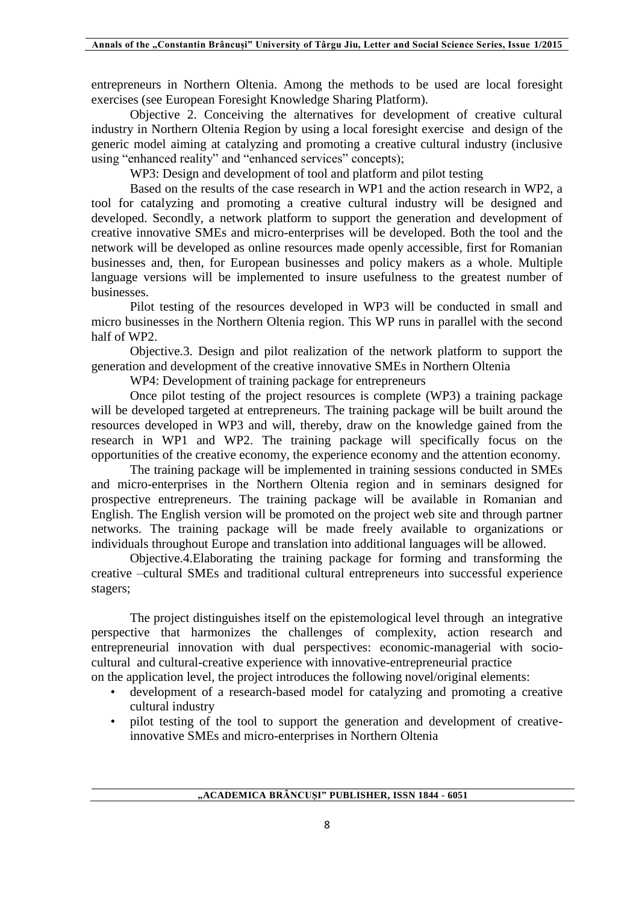entrepreneurs in Northern Oltenia. Among the methods to be used are local foresight exercises (see European Foresight Knowledge Sharing Platform).

Objective 2. Conceiving the alternatives for development of creative cultural industry in Northern Oltenia Region by using a local foresight exercise and design of the generic model aiming at catalyzing and promoting a creative cultural industry (inclusive using "enhanced reality" and "enhanced services" concepts);

WP3: Design and development of tool and platform and pilot testing

Based on the results of the case research in WP1 and the action research in WP2, a tool for catalyzing and promoting a creative cultural industry will be designed and developed. Secondly, a network platform to support the generation and development of creative innovative SMEs and micro-enterprises will be developed. Both the tool and the network will be developed as online resources made openly accessible, first for Romanian businesses and, then, for European businesses and policy makers as a whole. Multiple language versions will be implemented to insure usefulness to the greatest number of businesses.

Pilot testing of the resources developed in WP3 will be conducted in small and micro businesses in the Northern Oltenia region. This WP runs in parallel with the second half of WP2.

Objective.3. Design and pilot realization of the network platform to support the generation and development of the creative innovative SMEs in Northern Oltenia

WP4: Development of training package for entrepreneurs

Once pilot testing of the project resources is complete (WP3) a training package will be developed targeted at entrepreneurs. The training package will be built around the resources developed in WP3 and will, thereby, draw on the knowledge gained from the research in WP1 and WP2. The training package will specifically focus on the opportunities of the creative economy, the experience economy and the attention economy.

The training package will be implemented in training sessions conducted in SMEs and micro-enterprises in the Northern Oltenia region and in seminars designed for prospective entrepreneurs. The training package will be available in Romanian and English. The English version will be promoted on the project web site and through partner networks. The training package will be made freely available to organizations or individuals throughout Europe and translation into additional languages will be allowed.

Objective.4.Elaborating the training package for forming and transforming the creative –cultural SMEs and traditional cultural entrepreneurs into successful experience stagers;

The project distinguishes itself on the epistemological level through an integrative perspective that harmonizes the challenges of complexity, action research and entrepreneurial innovation with dual perspectives: economic-managerial with sociocultural and cultural-creative experience with innovative-entrepreneurial practice

- on the application level, the project introduces the following novel/original elements:
	- development of a research-based model for catalyzing and promoting a creative cultural industry
	- pilot testing of the tool to support the generation and development of creativeinnovative SMEs and micro-enterprises in Northern Oltenia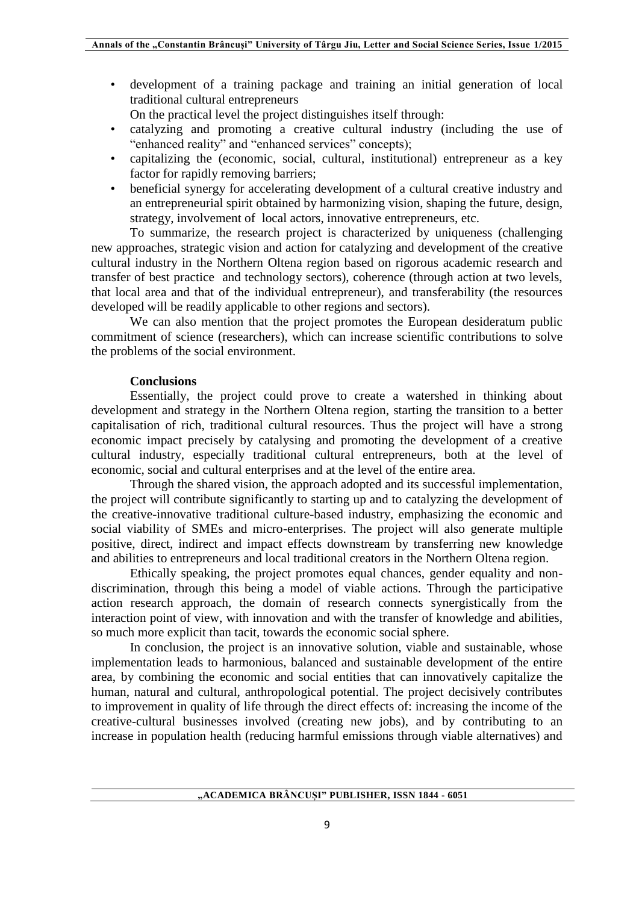• development of a training package and training an initial generation of local traditional cultural entrepreneurs

On the practical level the project distinguishes itself through:

- catalyzing and promoting a creative cultural industry (including the use of "enhanced reality" and "enhanced services" concepts);
- capitalizing the (economic, social, cultural, institutional) entrepreneur as a key factor for rapidly removing barriers;
- beneficial synergy for accelerating development of a cultural creative industry and an entrepreneurial spirit obtained by harmonizing vision, shaping the future, design, strategy, involvement of local actors, innovative entrepreneurs, etc.

To summarize, the research project is characterized by uniqueness (challenging new approaches, strategic vision and action for catalyzing and development of the creative cultural industry in the Northern Oltena region based on rigorous academic research and transfer of best practice and technology sectors), coherence (through action at two levels, that local area and that of the individual entrepreneur), and transferability (the resources developed will be readily applicable to other regions and sectors).

We can also mention that the project promotes the European desideratum public commitment of science (researchers), which can increase scientific contributions to solve the problems of the social environment.

#### **Conclusions**

Essentially, the project could prove to create a watershed in thinking about development and strategy in the Northern Oltena region, starting the transition to a better capitalisation of rich, traditional cultural resources. Thus the project will have a strong economic impact precisely by catalysing and promoting the development of a creative cultural industry, especially traditional cultural entrepreneurs, both at the level of economic, social and cultural enterprises and at the level of the entire area.

Through the shared vision, the approach adopted and its successful implementation, the project will contribute significantly to starting up and to catalyzing the development of the creative-innovative traditional culture-based industry, emphasizing the economic and social viability of SMEs and micro-enterprises. The project will also generate multiple positive, direct, indirect and impact effects downstream by transferring new knowledge and abilities to entrepreneurs and local traditional creators in the Northern Oltena region.

Ethically speaking, the project promotes equal chances, gender equality and nondiscrimination, through this being a model of viable actions. Through the participative action research approach, the domain of research connects synergistically from the interaction point of view, with innovation and with the transfer of knowledge and abilities, so much more explicit than tacit, towards the economic social sphere.

In conclusion, the project is an innovative solution, viable and sustainable, whose implementation leads to harmonious, balanced and sustainable development of the entire area, by combining the economic and social entities that can innovatively capitalize the human, natural and cultural, anthropological potential. The project decisively contributes to improvement in quality of life through the direct effects of: increasing the income of the creative-cultural businesses involved (creating new jobs), and by contributing to an increase in population health (reducing harmful emissions through viable alternatives) and